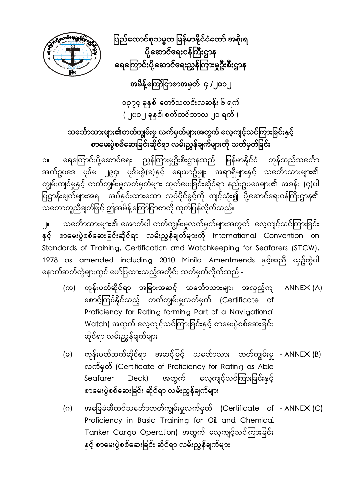

ပြည်ထောင်စုသမ္မတ မြန်မာနိုင်ငံတော် အစိုးရ ပို့ဆောင်ရေးဝန်ကြီးဌာန ရေကြောင်းပို့ဆောင်ရေးညွှန်ကြားမှုဦးစီးဌာန

## အမိန့်ကြော်ငြာစာအမှတ် ၄ /၂၀၁၂

၁၃၇၄ ခုနှစ်၊ ေတာ်သလင်းလဆန်း ၆ ရက် ( ၂၀၁၂ ခုနှစ်၊ စက်တင်ဘာလ ၂၁ ရက် )

## သင်္ဘောသားများ၏တတ်ကျွမ်းမှု လက်မှတ်များအတွက် လေ့ကျင့်သင်ကြားခြင်းနှင့် စာမေးပွဲစစ်ဆေးခြင်းဆိုင်ရာ လမ်းညွှန်ချက်များကို သတ်မှတ်ခြင်း

၁။ ရေကြောင်းပို့ဆောင်ရေး ညွှန်ကြားမှုဦးစီးဌာနသည် မြန်မာနိုင်ငံ ကုန်သည်သင်္ဘော အက်ဥပဒေ ပုဒ်မ ၂၉၄၊ ပုဒ်မခွဲ(ခ)နှင့် ရေယာဥ်မှုုး၊ အရာရှိများနှင့် သင်္ဘောသားများ၏ ကျွမ်းကျင်မှုနှင့် တတ်ကျွမ်းမှုလက်မှတ်များ ထုတ်ပေးခြင်းဆိုင်ရာ နည်းဥပဒေများ၏ အခန်း (၄)ပါ ပြဋ္ဌာန်းချက်များအရ အပ်နှင်းထားသော လုပ်ပိုင်ခွင့်ကို ကျင့်သုံး၍ ပို့ဆောင်ရေးဝန်ကြီးဌာန၏ သဘောတူညီချက်ဖြင့် ဤအမိန့်ကြော်ငြာစာကို ထုတ်ပြန်လိုက်သည်။

၂။ သင်္ဘောသားများ၏ အောက်ပါ တတ်ကျွမ်းမှုလက်မှတ်များအတွက် လေ့ကျင့်သင်ကြားခြင်း နှင့် စာမေးပွဲစစ်ဆေးခြင်းဆိုင်ရာ လမ်းညွှန်ချက်များကို International Convention on Standards of Training, Certification and Watchkeeping for Seafarers (STCW), 1978 as amended including 2010 Minila Amentmends နှင့်အညီ ယှဥ်တွဲပါ ေနာက်ဆက်တွဲများတွင် ေဖာ်ပြ ထားသည့်အတိုင်း သတ်မှတ်လိုက်သည် -

- (က) ကုန်းပတ်ဆိုင်ရာ အခြားအဆင့် သင်္ဘောသားများ အလှည့်ကျ -<code>ANNEX</code> (A) ေစာင့်ကြ ပ်နိုင်သည့် တတ်ကျွမ်းမှုလက်မှတ် (Certificate of Proficiency for Rating forming Part of a Navigational Watch) အတွက် လေ့ကျင့်သင်ကြားခြင်းနှင့် စာမေးပွဲစစ်ဆေးခြင်း ဆိုင်ရာ လမ်းညွှန်ချက်များ
- (ခ) ကုန်းပတ်ဘက်ဆိုင်ရာ အဆင့်မြင့် သင်္ဘောသား တတ်ကျွမ်းမှု ANNEX (B) ှု လက်မှတ် (Certificate of Proficiency for Rating as Able Seafarer Deck) အတွက် လေ့ကျင့်သင်ကြားခြင်းနှင့် စာေမးပွဲစစ်ေဆးခြ င်း ဆိုင်ရာ လမ်းညွှန်ချက်များ
- (ဂ) အခြေခံဆီတင်သင်္ဘောတတ်ကျွမ်းမှုလက်မှတ် (Certificate of ANNEX (C) ှု Proficiency in Basic Training for Oil and Chemical Tanker Cargo Operation) အတွက် လေ့ကျင့်သင်ကြားခြင်း နှင့် စာမေးပွဲစစ်ဆေးခြင်း ဆိုင်ရာ လမ်းညွှန်ချက်များ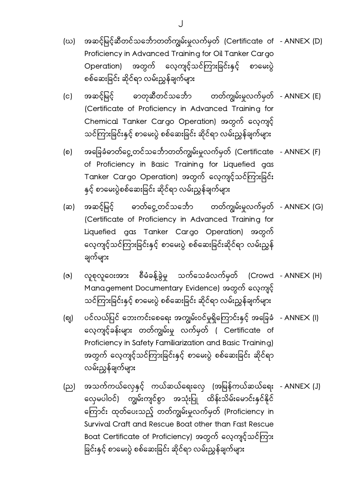- (ဃ) အဆင့်မြင့်ဆီတင်သင်္ဘောတတ်ကျွမ်းမှုလက်မှတ် (Certificate of - ANNEX (D) ှ Proficiency in Advanced Training for Oil Tanker Cargo Operation) အတွက် လေ့ကျင့်သင်ကြားခြင်းနှင့် စာမေးပွဲ စစ်ေဆးခြ င်း ဆိုင်ရာ လမ်းညွှန်ချက်များ
- (င) အဆင့်မြင့် ဓာတုဆီတင်သင်္ဘော တတ်ကျွမ်းမှုလက်မှတ် - ANNEX (E) ှု (Certificate of Proficiency in Advanced Training for Chemical Tanker Cargo Operation) အတွက် ေလ့ကျင့် သင်ကြားခြင်းနှင့် စာမေးပွဲ စစ်ဆေးခြင်း ဆိုင်ရာ လမ်းညွှန်ချက်များ
- (စ) အခြေခံဓာတ်ငွေ့တင်သင်္ဘောတတ်ကျွမ်းမှုလက်မှတ် (Certificate - ANNEX (F) ှု ှ of Proficiency in Basic Training for Liquefied gas Tanker Cargo Operation) အတွက် လေ့ကျင့်သင်ကြားခြင်း နှင့် စာမေးပွဲစစ်ဆေးခြင်း ဆိုင်ရာ လမ်းညွှန်ချက်များ
- (ဆ) အဆင့်မြင့် ဓာတ်ငွေ့တင်သင်္ဘော တတ်ကျွမ်းမှုလက်မှတ် ANNEX (G) ှု ှ (Certificate of Proficiency in Advanced Training for Liquefied gas Tanker Cargo Operation) အတွက် လေ့ကျင့်သင်ကြားခြင်းနှင့် စာမေးပွဲ စစ်ဆေးခြင်းဆိုင်ရာ လမ်းညွှန် ချက်များ
- (ဇ) စုလူဝေးအား စီမံခန့်ခွဲမှု သက်သေခံလက်မှတ် (Crowd - ANNEX (H) ှ Management Documentary Evidence) အတွက် ေလ့ကျင့် သင်ကြားခြင်းနှင့် စာမေးပွဲ စစ်ဆေးခြင်း ဆိုင်ရာ လမ်းညွှန်ချက်များ
- (ဈ) ပင်လယ်ပြင် ဘေးကင်းစေရေး အကျွမ်းဝင်မှုရှိကြောင်းနှင့် အခြေခံ - ANNEX (l) ေလ့ကျင့်ခန်းများ တတ်ကျွမ်းမှု လက်မှတ် ( Certificate of Proficiency in Safety Familiarization and Basic Training) အတွက် လေ့ကျင့်သင်ကြားခြင်းနှင့် စာမေးပွဲ စစ်ဆေးခြင်း ဆိုင်ရာ လမ်းညွှန်ချက်များ
- (ည) အသက်ကယ်လှေနှင့် ကယ်ဆယ်ရေးလှေ (အမြန်ကယ်ဆယ်ရေး ANNEX (J) လှေမပါဝင်) ကျွမ်းကျင်စွာ အသုံးပြု ထိန်းသိမ်းမောင်းနှင်နိုင် ေကြ ာင်း ထုတ်ေပးသည့် တတ်ကျွမ်းမှုလက်မှတ် (Proficiency in Survival Craft and Rescue Boat other than Fast Rescue Boat Certificate of Proficiency) အတွက် လေ့ကျင့်သင်ကြား ခြင်းနှင့် စာမေးပွဲ စစ်ဆေးခြင်း ဆိုင်ရာ လမ်းညွှန်ချက်များ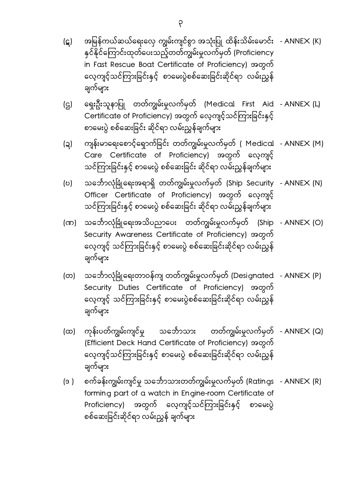- (ဋ) အမြန်ကယ်ဆယ်ရေးလှေ ကျွမ်းကျင်စွာ အသုံးပြု ထိန်းသိမ်းမောင်း - ANNEX (K) နှင်နိုင်ကြောင်းထုတ်ပေးသည့်တတ်ကျွမ်းမှုလက်မှတ် (Proficiency in Fast Rescue Boat Certificate of Proficiency) အတွက် လေ့ကျင့်သင်ကြားခြင်းနှင့် စာမေးပွဲစစ်ဆေးခြင်းဆိုင်ရာ လမ်းညွှန် ချက်များ
- (ဌ) ရှေးဦးသူနာပြု တတ်ကျွမ်းမှုလက်မှတ် (Medical First Aid -ANNEX(L) ှု ှ Certificate of Proficiency) အတွက် လေ့ကျင့်သင်ကြားခြင်းနှင့် စာေမးပွဲ စစ်ေဆးခြ င်း ဆိုင်ရာ လမ်းညွှန်ချက်များ
- (ဍ) ကျန်းမာရေးစောင့်ရှောက်ခြင်း တတ်ကျွမ်းမှုလက်မှတ် ( Medical - ANNEX (M) ှု ှ Care Certificate of Proficiency) အတွက် ေလ့ကျင့် သင်ကြားခြင်းနှင့် စာမေးပွဲ စစ်ဆေးခြင်း ဆိုင်ရာ လမ်းညွှန်ချက်များ
- (ဎ) သင်္ဘောလုံခြုံရေးအရာရှိ တတ်ကျွမ်းမှုလက်မှတ် (Ship Security - ANNEX (N) ှု ှ Officer Certificate of Proficiency) အတွက် ေလ့ကျင့် သင်ကြားခြင်းနှင့် စာမေးပွဲ စစ်ဆေးခြင်း ဆိုင်ရာ လမ်းညွှန်ချက်များ
- (ဏ) သင်္ဘောလုံခြုံရေးအသိပညာပေး တတ်ကျွမ်းမှုလက်မှတ် (Ship ANNEX (O) ှု ှ Security Awareness Certificate of Proficiency) အတွက် လေ့ကျင့် သင်ကြားခြင်းနှင့် စာမေးပွဲ စစ်ဆေးခြင်းဆိုင်ရာ လမ်းညွှန် ချက်များ
- (တ) သင်္ဘောလုံခြုံရေးတာဝန်ကျ တတ်ကျွမ်းမှုလက်မှတ် (Designated - ANNEX (P) ှု Security Duties Certificate of Proficiency) အတွက် လေ့ကျင့် သင်ကြားခြင်းနှင့် စာမေးပွဲစစ်ဆေးခြင်းဆိုင်ရာ လမ်းညွှန် ချက်များ
- (ထ) ကုန်းပတ်ကျွမ်းကျင်မှု သင်္ဘောသား တတ်ကျွမ်းမှုလက်မှတ် ANNEX (Q) ှု ှ (Efficient Deck Hand Certificate of Proficiency) အတွက် လေ့ကျင့်သင်ကြားခြင်းနှင့် စာမေးပွဲ စစ်ဆေးခြင်းဆိုင်ရာ လမ်းညွှန် ချက်များ
- (ဒ ) စက်ခန်းကျွမ်းကျင်မှု သင်္ဘောသားတတ်ကျွမ်းမှုလက်မှတ် (Ratings - ANNEX (R) ှု ှ forming part of a watch in Engine-room Certificate of Proficiency) အတွက် လေ့ကျင့်သင်ကြားခြင်းနှင့် စာမေးပွဲ စစ်ဆေးခြင်းဆိုင်ရာ လမ်းညွှန် ချက်များ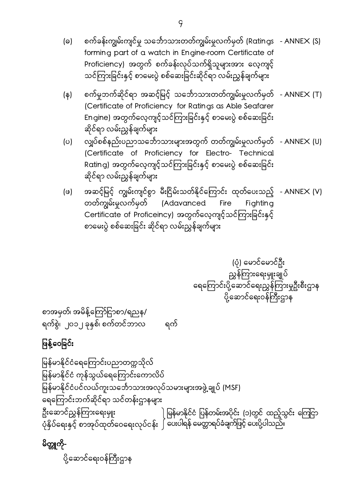- (ဓ) စက်ခန်းကျွမ်းကျင်မှု သင်္ဘောသားတတ်ကျွမ်းမှုလက်မှတ် (Ratings ANNEX (S) ှု ှ forming part of a watch in Engine-room Certificate of Proficiency) အတွက် စက်ခန်းလုပ်သက်ရှိသူများအား ေလ့ကျင့် သင်ကြားခြင်းနှင့် စာမေးပွဲ စစ်ဆေးခြင်းဆိုင်ရာ လမ်းညွှန်ချက်များ
- (န) စက်မှုဘက်ဆိုင်ရာ အဆင့်မြင့် သင်္ဘောသားတတ်ကျွမ်းမှုလက်မှတ် - ANNEX (T) ှု ှ (Certificate of Proficiency for Ratings as Able Seafarer Engine) အတွက်လေ့ကျင့်သင်ကြားခြင်းနှင့် စာမေးပွဲ စစ်ဆေးခြင်း ဆိုင်ရာ လမ်းညွှန်ချက်များ
- (ပ) လျှပ်စစ်နည်းပညာသင်္ဘောသားများအတွက် တတ်ကျွမ်းမှုလက်မှတ် - ANNEX (U) ှု ှ (Certificate of Proficiency for Electro- Technical Rating) အတွက်လေ့ကျင့်သင်ကြားခြင်းနှင့် စာမေးပွဲ စစ်ဆေးခြင်း ဆိုင်ရာ လမ်းညွှန်ချက်များ
- (ဖ) အဆင့်မြင့် ကျွမ်းကျင်စွာ မီးငြိမ်းသတ်နိုင်ကြောင်း ထုတ်ပေးသည့် - ANNEX (V) တတ်ကျွမ်းမှုလက်မှတ် (Adavanced Fire Fighting Certificate of Proficeincy) အတွက်လေ့ကျင့်သင်ကြားခြင်းနှင့် စာေမးပွဲ စစ်ေဆးခြ င်း ဆိုင်ရာ လမ်းညွှန်ချက်များ

 (ပုံ) ေမာင်ေမာင်ဦး ညွှန်ကြားရေးမှူးချုပ် ေရေကြ ာင်းပို့ေဆာင်ေရးညွှန်ကြ ားမှုဦးစီးဌာန ပို့ဆောင်ရေးဝန်ကြီးဌာန

စာအမှတ်၊ အမိန့်ကြော်ငြာစာ/ရညန/ ရက်စွဲ၊ ၂၀၁၂ ခုနှစ်၊ စက်တင်ဘာလ ရက်

# ဖြန့်ဝေခြင်း

ြမန်မာနိုင်ငံေရေကြ ာင်းပညာတက္ကသိုလ် မြန်မာနိုင်ငံ ကုန်သွယ်ရေကြောင်းကောလိပ် မြန်မာနိုင်ငံပင်လယ်ကူးသင်္ဘောသားအလုပ်သမားများအဖွဲ့ချုပ် (MSF) ေရေကြ ာင်းဘက်ဆိုင်ရာ သင်တန်းဌာနများ ဦးဆောင်ညွှန်ကြားရေးမှူး ပုံနှိပ်ရေးနှင့် စာအုပ်ထုတ်ဝေရေးလုပ်ငန်း ၂ ပေးပါရန် မေတ္တာရပ်ခံချက်ဖြင့် ပေးပို့ပါသည်။ ါ မြန်မာနိုင်ငံ ပြန်တမ်းအပိုင်း (၁)တွင် ထည့်သွင်း ကြေငြာ

မိတ္တူကို-ပို့ဆောင်ရေးဝန်ကြီးဌာန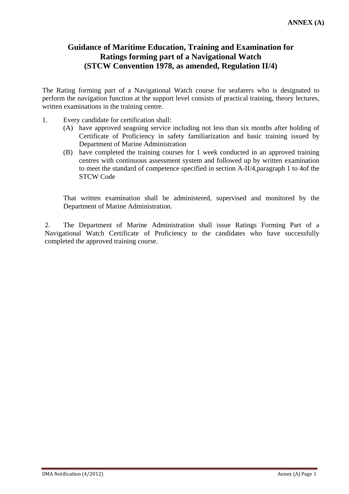### **Guidance of Maritime Education, Training and Examination for Ratings forming part of a Navigational Watch (STCW Convention 1978, as amended, Regulation II/4)**

The Rating forming part of a Navigational Watch course for seafarers who is designated to perform the navigation function at the support level consists of practical training, theory lectures, written examinations in the training centre.

- 1. Every candidate for certification shall:
	- (A) have approved seagoing service including not less than six months after holding of Certificate of Proficiency in safety familiarization and basic training issued by Department of Marine Administration
	- (B) have completed the training courses for 1 week conducted in an approved training centres with continuous assessment system and followed up by written examination to meet the standard of competence specified in section A-II/4,paragraph 1 to 4of the STCW Code

 That written examination shall be administered, supervised and monitored by the Department of Marine Administration.

2. The Department of Marine Administration shall issue Ratings Forming Part of a Navigational Watch Certificate of Proficiency to the candidates who have successfully completed the approved training course.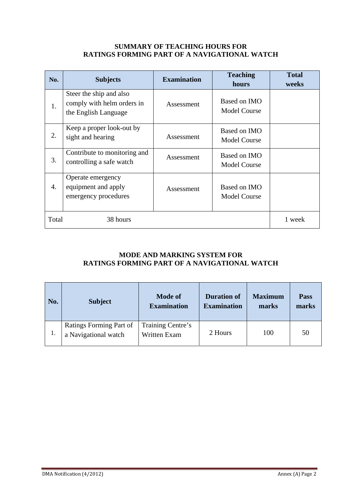#### **SUMMARY OF TEACHING HOURS FOR RATINGS FORMING PART OF A NAVIGATIONAL WATCH**

| No.   | <b>Subjects</b>                                                               | <b>Examination</b> | <b>Teaching</b><br>hours            | <b>Total</b><br>weeks |
|-------|-------------------------------------------------------------------------------|--------------------|-------------------------------------|-----------------------|
| 1.    | Steer the ship and also<br>comply with helm orders in<br>the English Language | Assessment         | Based on IMO<br><b>Model Course</b> |                       |
| 2.    | Keep a proper look-out by<br>sight and hearing                                | Assessment         | Based on IMO<br><b>Model Course</b> |                       |
| 3.    | Contribute to monitoring and<br>controlling a safe watch                      | Assessment         | Based on IMO<br><b>Model Course</b> |                       |
| 4.    | Operate emergency<br>equipment and apply<br>emergency procedures              | Assessment         | Based on IMO<br><b>Model Course</b> |                       |
| Total | 38 hours                                                                      |                    |                                     | 1 week                |

### **MODE AND MARKING SYSTEM FOR RATINGS FORMING PART OF A NAVIGATIONAL WATCH**

| No. | <b>Subject</b>                                  | <b>Mode of</b><br><b>Examination</b> | <b>Duration of</b><br><b>Examination</b> | <b>Maximum</b><br>marks | <b>Pass</b><br>marks |
|-----|-------------------------------------------------|--------------------------------------|------------------------------------------|-------------------------|----------------------|
|     | Ratings Forming Part of<br>a Navigational watch | Training Centre's<br>Written Exam    | 2 Hours                                  | 100                     | 50                   |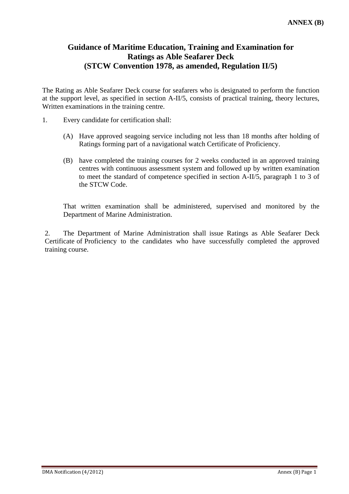### **Guidance of Maritime Education, Training and Examination for Ratings as Able Seafarer Deck (STCW Convention 1978, as amended, Regulation II/5)**

The Rating as Able Seafarer Deck course for seafarers who is designated to perform the function at the support level, as specified in section A-II/5, consists of practical training, theory lectures, Written examinations in the training centre.

- 1. Every candidate for certification shall:
	- (A) Have approved seagoing service including not less than 18 months after holding of Ratings forming part of a navigational watch Certificate of Proficiency.
	- (B) have completed the training courses for 2 weeks conducted in an approved training centres with continuous assessment system and followed up by written examination to meet the standard of competence specified in section A-II/5, paragraph 1 to 3 of the STCW Code.

 That written examination shall be administered, supervised and monitored by the Department of Marine Administration.

2. The Department of Marine Administration shall issue Ratings as Able Seafarer Deck Certificate of Proficiency to the candidates who have successfully completed the approved training course.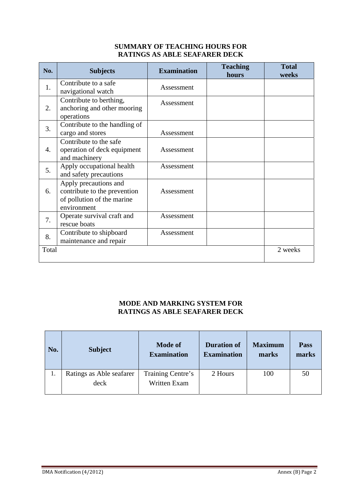### **SUMMARY OF TEACHING HOURS FOR RATINGS AS ABLE SEAFARER DECK**

| No.              | <b>Subjects</b>                                                                                    | <b>Examination</b> | <b>Teaching</b><br>hours | <b>Total</b><br>weeks |
|------------------|----------------------------------------------------------------------------------------------------|--------------------|--------------------------|-----------------------|
| 1.               | Contribute to a safe<br>navigational watch                                                         | Assessment         |                          |                       |
| 2.               | Contribute to berthing,<br>anchoring and other mooring<br>operations                               | Assessment         |                          |                       |
| 3.               | Contribute to the handling of<br>cargo and stores                                                  | Assessment         |                          |                       |
| $\overline{4}$ . | Contribute to the safe<br>operation of deck equipment<br>and machinery                             | Assessment         |                          |                       |
| 5.               | Apply occupational health<br>and safety precautions                                                | Assessment         |                          |                       |
| 6.               | Apply precautions and<br>contribute to the prevention<br>of pollution of the marine<br>environment | Assessment         |                          |                       |
| 7.               | Operate survival craft and<br>rescue boats                                                         | Assessment         |                          |                       |
| 8.               | Contribute to shipboard<br>maintenance and repair                                                  | Assessment         |                          |                       |
| Total            |                                                                                                    |                    |                          | 2 weeks               |

### **MODE AND MARKING SYSTEM FOR RATINGS AS ABLE SEAFARER DECK**

| No. | <b>Subject</b>           | <b>Mode of</b><br><b>Examination</b> | <b>Duration of</b><br><b>Examination</b> | <b>Maximum</b><br>marks | <b>Pass</b><br>marks |
|-----|--------------------------|--------------------------------------|------------------------------------------|-------------------------|----------------------|
|     | Ratings as Able seafarer | Training Centre's                    | 2 Hours                                  | 100                     | 50                   |
|     | deck                     | Written Exam                         |                                          |                         |                      |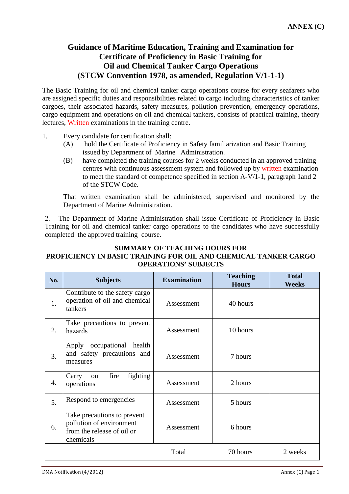### **Guidance of Maritime Education, Training and Examination for Certificate of Proficiency in Basic Training for Oil and Chemical Tanker Cargo Operations (STCW Convention 1978, as amended, Regulation V/1-1-1)**

The Basic Training for oil and chemical tanker cargo operations course for every seafarers who are assigned specific duties and responsibilities related to cargo including characteristics of tanker cargoes, their associated hazards, safety measures, pollution prevention, emergency operations, cargo equipment and operations on oil and chemical tankers, consists of practical training, theory lectures, Written examinations in the training centre.

- 1. Every candidate for certification shall:
	- (A) hold the Certificate of Proficiency in Safety familiarization and Basic Training issued by Department of Marine Administration.
	- (B) have completed the training courses for 2 weeks conducted in an approved training centres with continuous assessment system and followed up by written examination to meet the standard of competence specified in section A-V/1-1, paragraph 1and 2 of the STCW Code.

 That written examination shall be administered, supervised and monitored by the Department of Marine Administration.

2. The Department of Marine Administration shall issue Certificate of Proficiency in Basic Training for oil and chemical tanker cargo operations to the candidates who have successfully completed the approved training course.

### **SUMMARY OF TEACHING HOURS FOR PROFICIENCY IN BASIC TRAINING FOR OIL AND CHEMICAL TANKER CARGO OPERATIONS' SUBJECTS**

| No. | <b>Subjects</b>                                                                                    | <b>Examination</b> | <b>Teaching</b><br><b>Hours</b> | <b>Total</b><br>Weeks |
|-----|----------------------------------------------------------------------------------------------------|--------------------|---------------------------------|-----------------------|
| 1.  | Contribute to the safety cargo<br>operation of oil and chemical<br>tankers                         | Assessment         | 40 hours                        |                       |
| 2.  | Take precautions to prevent<br>hazards                                                             | Assessment         | 10 hours                        |                       |
| 3.  | Apply occupational health<br>and safety precautions and<br>measures                                | Assessment         | 7 hours                         |                       |
| 4.  | fighting<br>fire<br>Carry<br>out<br>operations                                                     | Assessment         | 2 hours                         |                       |
| 5.  | Respond to emergencies                                                                             | Assessment         | 5 hours                         |                       |
| 6.  | Take precautions to prevent<br>pollution of environment<br>from the release of oil or<br>chemicals | Assessment         | 6 hours                         |                       |
|     |                                                                                                    | Total              | 70 hours                        | 2 weeks               |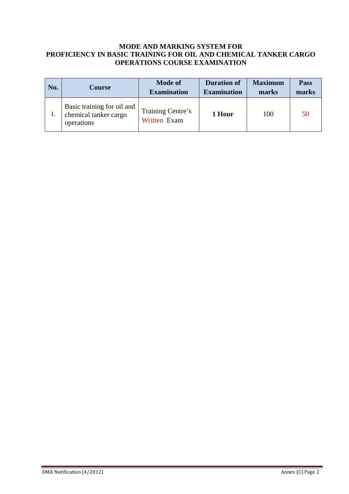#### **MODE AND MARKING SYSTEM FOR PROFICIENCY IN BASIC TRAINING FOR OIL AND CHEMICAL TANKER CARGO OPERATIONS COURSE EXAMINATION**

| No. | <b>Course</b>                                                     | <b>Mode of</b><br><b>Examination</b> | <b>Duration of</b><br><b>Examination</b> | <b>Maximum</b><br>marks | Pass<br>marks |
|-----|-------------------------------------------------------------------|--------------------------------------|------------------------------------------|-------------------------|---------------|
|     | Basic training for oil and<br>chemical tanker cargo<br>operations | Training Centre's<br>Written Exam    | 1 Hour                                   | 100                     | 50            |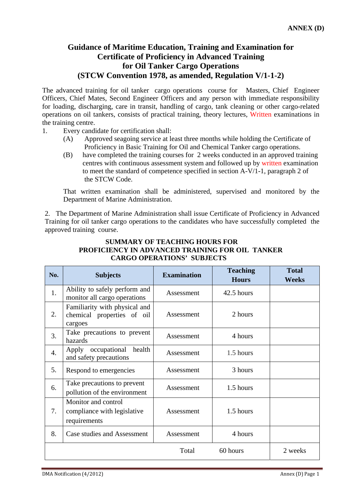### **Guidance of Maritime Education, Training and Examination for Certificate of Proficiency in Advanced Training for Oil Tanker Cargo Operations (STCW Convention 1978, as amended, Regulation V/1-1-2)**

The advanced training for oil tanker cargo operations course for Masters, Chief Engineer Officers, Chief Mates, Second Engineer Officers and any person with immediate responsibility for loading, discharging, care in transit, handling of cargo, tank cleaning or other cargo-related operations on oil tankers, consists of practical training, theory lectures, Written examinations in the training centre.

- 1. Every candidate for certification shall:
	- (A) Approved seagoing service at least three months while holding the Certificate of Proficiency in Basic Training for Oil and Chemical Tanker cargo operations.
	- (B) have completed the training courses for 2 weeks conducted in an approved training centres with continuous assessment system and followed up by written examination to meet the standard of competence specified in section A-V/1-1, paragraph 2 of the STCW Code.

 That written examination shall be administered, supervised and monitored by the Department of Marine Administration.

2. The Department of Marine Administration shall issue Certificate of Proficiency in Advanced Training for oil tanker cargo operations to the candidates who have successfully completed the approved training course.

### **SUMMARY OF TEACHING HOURS FOR PROFICIENCY IN ADVANCED TRAINING FOR OIL TANKER CARGO OPERATIONS' SUBJECTS**

| No. | <b>Subjects</b>                                                        | <b>Examination</b> | <b>Teaching</b><br><b>Hours</b> | <b>Total</b><br><b>Weeks</b> |
|-----|------------------------------------------------------------------------|--------------------|---------------------------------|------------------------------|
| 1.  | Ability to safely perform and<br>monitor all cargo operations          | Assessment         | 42.5 hours                      |                              |
| 2.  | Familiarity with physical and<br>chemical properties of oil<br>cargoes | Assessment         | 2 hours                         |                              |
| 3.  | Take precautions to prevent<br>hazards                                 | Assessment         | 4 hours                         |                              |
| 4.  | Apply occupational health<br>and safety precautions                    | Assessment         | 1.5 hours                       |                              |
| 5.  | Respond to emergencies                                                 | Assessment         | 3 hours                         |                              |
| 6.  | Take precautions to prevent<br>pollution of the environment            | Assessment         | 1.5 hours                       |                              |
| 7.  | Monitor and control<br>compliance with legislative<br>requirements     | Assessment         | 1.5 hours                       |                              |
| 8.  | Case studies and Assessment                                            | Assessment         | 4 hours                         |                              |
|     |                                                                        | Total              | 60 hours                        | 2 weeks                      |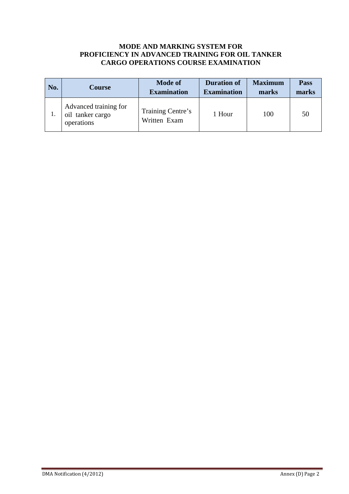### **MODE AND MARKING SYSTEM FOR PROFICIENCY IN ADVANCED TRAINING FOR OIL TANKER CARGO OPERATIONS COURSE EXAMINATION**

| No. | Course                                                  | <b>Mode of</b><br><b>Examination</b> | <b>Duration of</b><br><b>Examination</b> | <b>Maximum</b><br>marks | <b>Pass</b><br>marks |
|-----|---------------------------------------------------------|--------------------------------------|------------------------------------------|-------------------------|----------------------|
|     | Advanced training for<br>oil tanker cargo<br>operations | Training Centre's<br>Written Exam    | 1 Hour                                   | 100                     | 50                   |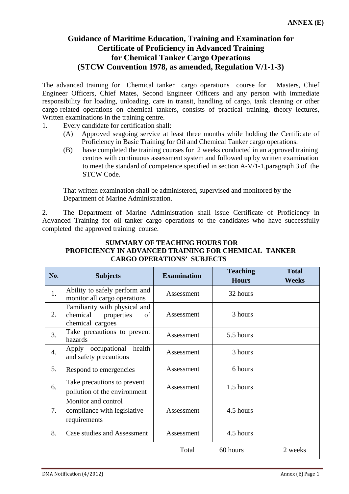### **Guidance of Maritime Education, Training and Examination for Certificate of Proficiency in Advanced Training for Chemical Tanker Cargo Operations (STCW Convention 1978, as amended, Regulation V/1-1-3)**

The advanced training for Chemical tanker cargo operations course for Masters, Chief Engineer Officers, Chief Mates, Second Engineer Officers and any person with immediate responsibility for loading, unloading, care in transit, handling of cargo, tank cleaning or other cargo-related operations on chemical tankers, consists of practical training, theory lectures, Written examinations in the training centre.

1. Every candidate for certification shall:

- (A) Approved seagoing service at least three months while holding the Certificate of Proficiency in Basic Training for Oil and Chemical Tanker cargo operations.
- (B) have completed the training courses for 2 weeks conducted in an approved training centres with continuous assessment system and followed up by written examination to meet the standard of competence specified in section A-V/1-1,paragraph 3 of the STCW Code.

 That written examination shall be administered, supervised and monitored by the Department of Marine Administration.

2. The Department of Marine Administration shall issue Certificate of Proficiency in Advanced Training for oil tanker cargo operations to the candidates who have successfully completed the approved training course.

### **SUMMARY OF TEACHING HOURS FOR PROFICIENCY IN ADVANCED TRAINING FOR CHEMICAL TANKER CARGO OPERATIONS' SUBJECTS**

| No.              | <b>Subjects</b>                                                                   | <b>Examination</b> | <b>Teaching</b><br><b>Hours</b> | <b>Total</b><br><b>Weeks</b> |
|------------------|-----------------------------------------------------------------------------------|--------------------|---------------------------------|------------------------------|
| 1.               | Ability to safely perform and<br>monitor all cargo operations                     | Assessment         | 32 hours                        |                              |
| 2.               | Familiarity with physical and<br>properties<br>chemical<br>of<br>chemical cargoes | Assessment         | 3 hours                         |                              |
| 3.               | Take precautions to prevent<br>hazards                                            | Assessment         | 5.5 hours                       |                              |
| $\overline{4}$ . | Apply occupational health<br>and safety precautions                               | Assessment         | 3 hours                         |                              |
| 5.               | Respond to emergencies                                                            | Assessment         | 6 hours                         |                              |
| 6.               | Take precautions to prevent<br>pollution of the environment                       | Assessment         | 1.5 hours                       |                              |
| 7.               | Monitor and control<br>compliance with legislative<br>requirements                | Assessment         | 4.5 hours                       |                              |
| 8.               | Case studies and Assessment                                                       | Assessment         | 4.5 hours                       |                              |
|                  |                                                                                   | Total              | 60 hours                        | 2 weeks                      |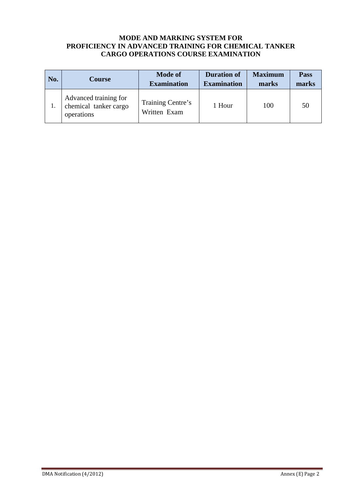#### **MODE AND MARKING SYSTEM FOR PROFICIENCY IN ADVANCED TRAINING FOR CHEMICAL TANKER CARGO OPERATIONS COURSE EXAMINATION**

| No. | Course                                                       | <b>Mode of</b><br><b>Examination</b> | <b>Duration of</b><br><b>Examination</b> | <b>Maximum</b><br>marks | <b>Pass</b><br>marks |
|-----|--------------------------------------------------------------|--------------------------------------|------------------------------------------|-------------------------|----------------------|
|     | Advanced training for<br>chemical tanker cargo<br>operations | Training Centre's<br>Written Exam    | 1 Hour                                   | 100                     | 50                   |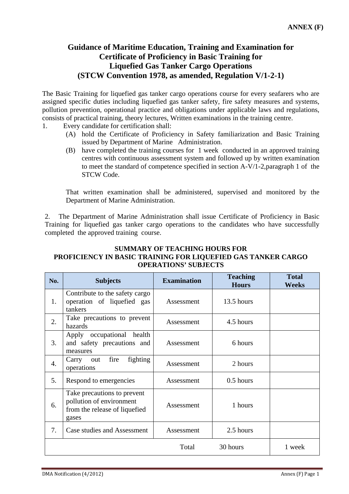### **Guidance of Maritime Education, Training and Examination for Certificate of Proficiency in Basic Training for Liquefied Gas Tanker Cargo Operations (STCW Convention 1978, as amended, Regulation V/1-2-1)**

The Basic Training for liquefied gas tanker cargo operations course for every seafarers who are assigned specific duties including liquefied gas tanker safety, fire safety measures and systems, pollution prevention, operational practice and obligations under applicable laws and regulations, consists of practical training, theory lectures, Written examinations in the training centre.

- 1. Every candidate for certification shall:
	- (A) hold the Certificate of Proficiency in Safety familiarization and Basic Training issued by Department of Marine Administration.
	- (B) have completed the training courses for 1 week conducted in an approved training centres with continuous assessment system and followed up by written examination to meet the standard of competence specified in section A-V/1-2,paragraph 1 of the STCW Code.

That written examination shall be administered, supervised and monitored by the Department of Marine Administration.

2. The Department of Marine Administration shall issue Certificate of Proficiency in Basic Training for liquefied gas tanker cargo operations to the candidates who have successfully completed the approved training course.

### **SUMMARY OF TEACHING HOURS FOR PROFICIENCY IN BASIC TRAINING FOR LIQUEFIED GAS TANKER CARGO OPERATIONS' SUBJECTS**

| No.              | <b>Subjects</b>                                                                                   | <b>Examination</b> | <b>Teaching</b><br><b>Hours</b> | <b>Total</b><br><b>Weeks</b> |
|------------------|---------------------------------------------------------------------------------------------------|--------------------|---------------------------------|------------------------------|
| 1.               | Contribute to the safety cargo<br>operation of liquefied gas<br>tankers                           | Assessment         | 13.5 hours                      |                              |
| 2.               | Take precautions to prevent<br>hazards                                                            | Assessment         | 4.5 hours                       |                              |
| 3.               | Apply occupational health<br>and safety precautions and<br>measures                               | Assessment         | 6 hours                         |                              |
| $\overline{4}$ . | fighting<br>fire<br>Carry<br>out<br>operations                                                    | Assessment         | 2 hours                         |                              |
| 5.               | Respond to emergencies                                                                            | Assessment         | $0.5$ hours                     |                              |
| 6.               | Take precautions to prevent<br>pollution of environment<br>from the release of liquefied<br>gases | Assessment         | 1 hours                         |                              |
| 7.               | Case studies and Assessment                                                                       | Assessment         | 2.5 hours                       |                              |
|                  |                                                                                                   | Total              | 30 hours                        | 1 week                       |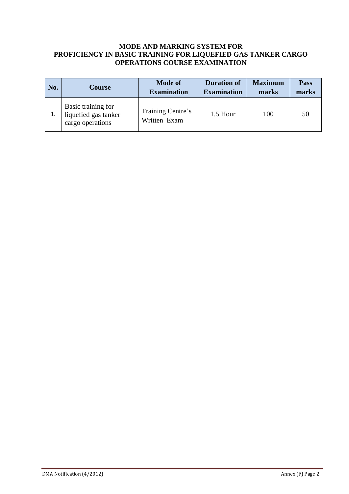### **MODE AND MARKING SYSTEM FOR PROFICIENCY IN BASIC TRAINING FOR LIQUEFIED GAS TANKER CARGO OPERATIONS COURSE EXAMINATION**

| No. | <b>Course</b>                                                  | <b>Mode of</b><br><b>Examination</b> | <b>Duration of</b><br><b>Examination</b> | <b>Maximum</b><br>marks | <b>Pass</b><br>marks |
|-----|----------------------------------------------------------------|--------------------------------------|------------------------------------------|-------------------------|----------------------|
|     | Basic training for<br>liquefied gas tanker<br>cargo operations | Training Centre's<br>Written Exam    | 1.5 Hour                                 | 100                     | 50                   |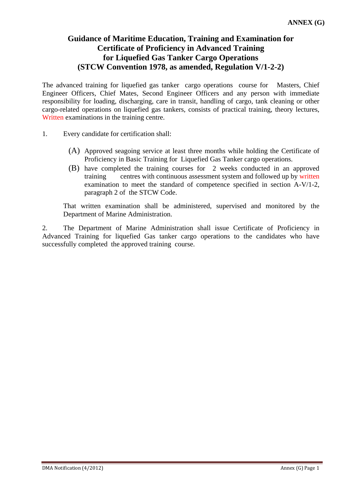### **Guidance of Maritime Education, Training and Examination for Certificate of Proficiency in Advanced Training for Liquefied Gas Tanker Cargo Operations (STCW Convention 1978, as amended, Regulation V/1-2-2)**

The advanced training for liquefied gas tanker cargo operations course for Masters, Chief Engineer Officers, Chief Mates, Second Engineer Officers and any person with immediate responsibility for loading, discharging, care in transit, handling of cargo, tank cleaning or other cargo-related operations on liquefied gas tankers, consists of practical training, theory lectures, Written examinations in the training centre.

- 1. Every candidate for certification shall:
	- (A) Approved seagoing service at least three months while holding the Certificate of Proficiency in Basic Training for Liquefied Gas Tanker cargo operations.
	- (B) have completed the training courses for 2 weeks conducted in an approved training centres with continuous assessment system and followed up by written examination to meet the standard of competence specified in section A-V/1-2, paragraph 2 of the STCW Code.

 That written examination shall be administered, supervised and monitored by the Department of Marine Administration.

2. The Department of Marine Administration shall issue Certificate of Proficiency in Advanced Training for liquefied Gas tanker cargo operations to the candidates who have successfully completed the approved training course.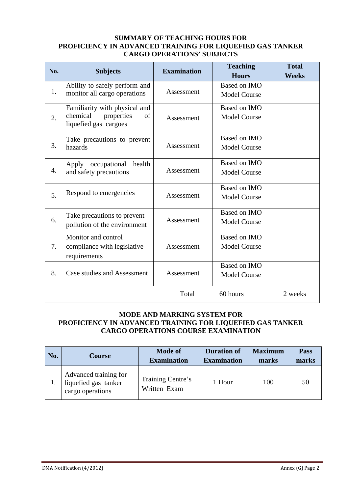#### **SUMMARY OF TEACHING HOURS FOR PROFICIENCY IN ADVANCED TRAINING FOR LIQUEFIED GAS TANKER CARGO OPERATIONS' SUBJECTS**

| No.              | <b>Subjects</b>                                                                        | <b>Examination</b> | <b>Teaching</b><br><b>Hours</b>     | <b>Total</b><br><b>Weeks</b> |
|------------------|----------------------------------------------------------------------------------------|--------------------|-------------------------------------|------------------------------|
| 1.               | Ability to safely perform and<br>monitor all cargo operations                          | Assessment         | Based on IMO<br><b>Model Course</b> |                              |
| $\overline{2}$ . | Familiarity with physical and<br>chemical<br>properties<br>of<br>liquefied gas cargoes | Assessment         | Based on IMO<br><b>Model Course</b> |                              |
| 3.               | Take precautions to prevent<br>hazards                                                 | Assessment         | Based on IMO<br><b>Model Course</b> |                              |
| $\overline{4}$ . | Apply occupational health<br>and safety precautions                                    | Assessment         | Based on IMO<br><b>Model Course</b> |                              |
| 5.               | Respond to emergencies                                                                 | Assessment         | Based on IMO<br><b>Model Course</b> |                              |
| 6.               | Take precautions to prevent<br>pollution of the environment                            | Assessment         | Based on IMO<br><b>Model Course</b> |                              |
| 7.               | Monitor and control<br>compliance with legislative<br>requirements                     | Assessment         | Based on IMO<br><b>Model Course</b> |                              |
| 8.               | Case studies and Assessment                                                            | Assessment         | Based on IMO<br><b>Model Course</b> |                              |
|                  |                                                                                        | Total              | 60 hours                            | 2 weeks                      |

### **MODE AND MARKING SYSTEM FOR PROFICIENCY IN ADVANCED TRAINING FOR LIQUEFIED GAS TANKER CARGO OPERATIONS COURSE EXAMINATION**

| No. | <b>Course</b>                                                     | <b>Mode of</b><br><b>Examination</b> | <b>Duration of</b><br><b>Examination</b> | <b>Maximum</b><br>marks | <b>Pass</b><br>marks |
|-----|-------------------------------------------------------------------|--------------------------------------|------------------------------------------|-------------------------|----------------------|
|     | Advanced training for<br>liquefied gas tanker<br>cargo operations | Training Centre's<br>Written Exam    | 1 Hour                                   | 100                     | 50                   |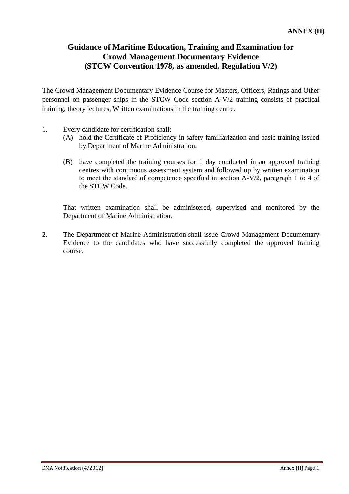### **Guidance of Maritime Education, Training and Examination for Crowd Management Documentary Evidence (STCW Convention 1978, as amended, Regulation V/2)**

The Crowd Management Documentary Evidence Course for Masters, Officers, Ratings and Other personnel on passenger ships in the STCW Code section A-V/2 training consists of practical training, theory lectures, Written examinations in the training centre.

- 1. Every candidate for certification shall:
	- (A) hold the Certificate of Proficiency in safety familiarization and basic training issued by Department of Marine Administration.
	- (B) have completed the training courses for 1 day conducted in an approved training centres with continuous assessment system and followed up by written examination to meet the standard of competence specified in section A-V/2, paragraph 1 to 4 of the STCW Code.

 That written examination shall be administered, supervised and monitored by the Department of Marine Administration.

2. The Department of Marine Administration shall issue Crowd Management Documentary Evidence to the candidates who have successfully completed the approved training course.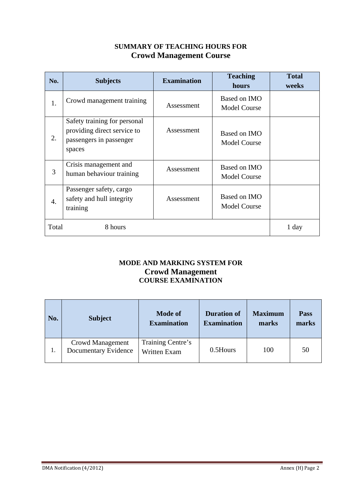### **SUMMARY OF TEACHING HOURS FOR Crowd Management Course**

| No.              | <b>Subjects</b>                                                                                  | <b>Examination</b> | <b>Teaching</b><br>hours            | <b>Total</b><br>weeks |
|------------------|--------------------------------------------------------------------------------------------------|--------------------|-------------------------------------|-----------------------|
| 1.               | Crowd management training                                                                        | Assessment         | Based on IMO<br><b>Model Course</b> |                       |
| 2.               | Safety training for personal<br>providing direct service to<br>passengers in passenger<br>spaces | Assessment         | Based on IMO<br><b>Model Course</b> |                       |
| 3                | Crisis management and<br>human behaviour training                                                | Assessment         | Based on IMO<br><b>Model Course</b> |                       |
| $\overline{4}$ . | Passenger safety, cargo<br>safety and hull integrity<br>training                                 | Assessment         | Based on IMO<br><b>Model Course</b> |                       |
| Total            | 8 hours                                                                                          |                    |                                     | 1 day                 |

### **MODE AND MARKING SYSTEM FOR Crowd Management COURSE EXAMINATION**

| No. | <b>Subject</b>                                         | <b>Mode of</b><br><b>Examination</b>     | <b>Duration of</b><br><b>Examination</b> | <b>Maximum</b><br>marks | <b>Pass</b><br>marks |
|-----|--------------------------------------------------------|------------------------------------------|------------------------------------------|-------------------------|----------------------|
| 1.  | <b>Crowd Management</b><br><b>Documentary Evidence</b> | Training Centre's<br><b>Written Exam</b> | 0.5Hours                                 | 100                     | 50                   |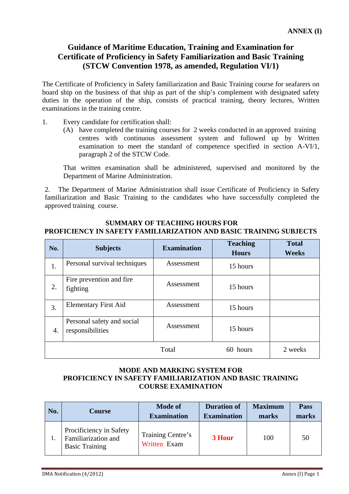### **Guidance of Maritime Education, Training and Examination for Certificate of Proficiency in Safety Familiarization and Basic Training (STCW Convention 1978, as amended, Regulation VI/1)**

The Certificate of Proficiency in Safety familiarization and Basic Training course for seafarers on board ship on the business of that ship as part of the ship's complement with designated safety duties in the operation of the ship, consists of practical training, theory lectures, Written examinations in the training centre.

- 1. Every candidate for certification shall:
	- (A) have completed the training courses for 2 weeks conducted in an approved training centres with continuous assessment system and followed up by Written examination to meet the standard of competence specified in section A-VI/1, paragraph 2 of the STCW Code.

 That written examination shall be administered, supervised and monitored by the Department of Marine Administration.

2. The Department of Marine Administration shall issue Certificate of Proficiency in Safety familiarization and Basic Training to the candidates who have successfully completed the approved training course.

### **SUMMARY OF TEACHING HOURS FOR PROFICIENCY IN SAFETY FAMILIARIZATION AND BASIC TRAINING SUBJECTS**

| No. | <b>Subjects</b>                                | <b>Examination</b> | <b>Teaching</b><br><b>Hours</b> | <b>Total</b><br>Weeks |
|-----|------------------------------------------------|--------------------|---------------------------------|-----------------------|
| 1.  | Personal survival techniques                   | Assessment         | 15 hours                        |                       |
| 2.  | Fire prevention and fire<br>fighting           | Assessment         | 15 hours                        |                       |
| 3.  | <b>Elementary First Aid</b>                    | Assessment         | 15 hours                        |                       |
| 4.  | Personal safety and social<br>responsibilities | Assessment         | 15 hours                        |                       |
|     |                                                | Total              | 60 hours                        | 2 weeks               |

### **MODE AND MARKING SYSTEM FOR PROFICIENCY IN SAFETY FAMILIARIZATION AND BASIC TRAINING COURSE EXAMINATION**

| No. | <b>Course</b>                                                           | <b>Mode of</b><br><b>Examination</b> | <b>Duration of</b><br><b>Examination</b> | <b>Maximum</b><br>marks | <b>Pass</b><br>marks |
|-----|-------------------------------------------------------------------------|--------------------------------------|------------------------------------------|-------------------------|----------------------|
|     | Procificiency in Safety<br>Familiarization and<br><b>Basic Training</b> | Training Centre's<br>Written Exam    | 3 Hour                                   | 100                     | 50                   |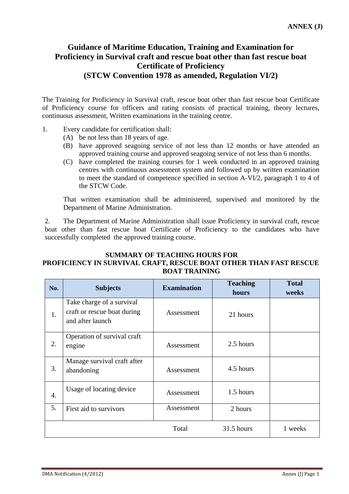### **Guidance of Maritime Education, Training and Examination for Proficiency in Survival craft and rescue boat other than fast rescue boat Certificate of Proficiency (STCW Convention 1978 as amended, Regulation VI/2)**

The Training for Proficiency in Survival craft, rescue boat other than fast rescue boat Certificate of Proficiency course for officers and rating consists of practical training, theory lectures, continuous assessment, Written examinations in the training centre.

- 1. Every candidate for certification shall:
	- (A) be not less than 18 years of age.
	- (B) have approved seagoing service of not less than 12 months or have attended an approved training course and approved seagoing service of not less than 6 months.
	- (C) have completed the training courses for 1 week conducted in an approved training centres with continuous assessment system and followed up by written examination to meet the standard of competence specified in section A-VI/2, paragraph 1 to 4 of the STCW Code.

 That written examination shall be administered, supervised and monitored by the Department of Marine Administration.

2. The Department of Marine Administration shall issue Proficiency in survival craft, rescue boat other than fast rescue boat Certificate of Proficiency to the candidates who have successfully completed the approved training course.

### **SUMMARY OF TEACHING HOURS FOR PROFICIENCY IN SURVIVAL CRAFT, RESCUE BOAT OTHER THAN FAST RESCUE BOAT TRAINING**

| No. | <b>Subjects</b>                                                              | <b>Examination</b> | <b>Teaching</b><br>hours | <b>Total</b><br>weeks |
|-----|------------------------------------------------------------------------------|--------------------|--------------------------|-----------------------|
| 1.  | Take charge of a survival<br>craft or rescue boat during<br>and after launch | Assessment         | 21 hours                 |                       |
| 2.  | Operation of survival craft<br>engine                                        | Assessment         | 2.5 hours                |                       |
| 3.  | Manage survival craft after<br>abandoning                                    | Assessment         | 4.5 hours                |                       |
| 4.  | Usage of locating device                                                     | Assessment         | 1.5 hours                |                       |
| 5.  | First aid to survivors                                                       | Assessment         | 2 hours                  |                       |
|     |                                                                              | Total              | 31.5 hours               | 1 weeks               |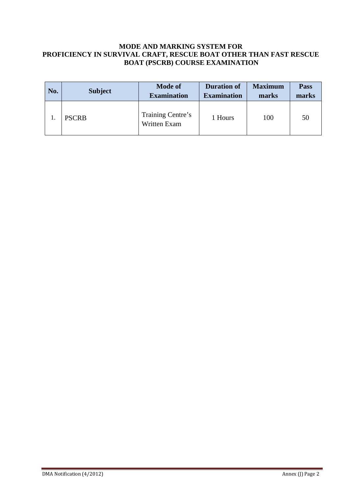#### **MODE AND MARKING SYSTEM FOR PROFICIENCY IN SURVIVAL CRAFT, RESCUE BOAT OTHER THAN FAST RESCUE BOAT (PSCRB) COURSE EXAMINATION**

| No. | <b>Subject</b> | <b>Mode of</b><br><b>Examination</b> | <b>Duration of</b><br><b>Examination</b> | <b>Maximum</b><br>marks | <b>Pass</b><br>marks |
|-----|----------------|--------------------------------------|------------------------------------------|-------------------------|----------------------|
|     | <b>PSCRB</b>   | Training Centre's<br>Written Exam    | 1 Hours                                  | 100                     | 50                   |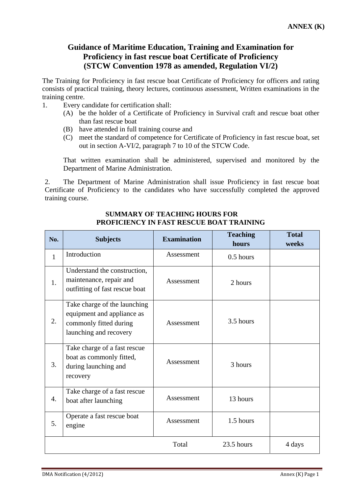### **Guidance of Maritime Education, Training and Examination for Proficiency in fast rescue boat Certificate of Proficiency (STCW Convention 1978 as amended, Regulation VI/2)**

The Training for Proficiency in fast rescue boat Certificate of Proficiency for officers and rating consists of practical training, theory lectures, continuous assessment, Written examinations in the training centre.

- 1. Every candidate for certification shall:
	- (A) be the holder of a Certificate of Proficiency in Survival craft and rescue boat other than fast rescue boat
	- (B) have attended in full training course and
	- (C) meet the standard of competence for Certificate of Proficiency in fast rescue boat, set out in section A-VI/2, paragraph 7 to 10 of the STCW Code.

 That written examination shall be administered, supervised and monitored by the Department of Marine Administration.

2. The Department of Marine Administration shall issue Proficiency in fast rescue boat Certificate of Proficiency to the candidates who have successfully completed the approved training course.

| No.          | <b>Subjects</b>                                                                                                | <b>Examination</b> | <b>Teaching</b><br>hours | <b>Total</b><br>weeks |
|--------------|----------------------------------------------------------------------------------------------------------------|--------------------|--------------------------|-----------------------|
| $\mathbf{1}$ | Introduction                                                                                                   | Assessment         | 0.5 hours                |                       |
| 1.           | Understand the construction,<br>maintenance, repair and<br>outfitting of fast rescue boat                      | Assessment         | 2 hours                  |                       |
| 2.           | Take charge of the launching<br>equipment and appliance as<br>commonly fitted during<br>launching and recovery | Assessment         | 3.5 hours                |                       |
| 3.           | Take charge of a fast rescue<br>boat as commonly fitted,<br>during launching and<br>recovery                   | Assessment         | 3 hours                  |                       |
| 4.           | Take charge of a fast rescue<br>boat after launching                                                           | Assessment         | 13 hours                 |                       |
| 5.           | Operate a fast rescue boat<br>engine                                                                           | Assessment         | 1.5 hours                |                       |
|              |                                                                                                                | Total              | 23.5 hours               | 4 days                |

#### **SUMMARY OF TEACHING HOURS FOR PROFICIENCY IN FAST RESCUE BOAT TRAINING**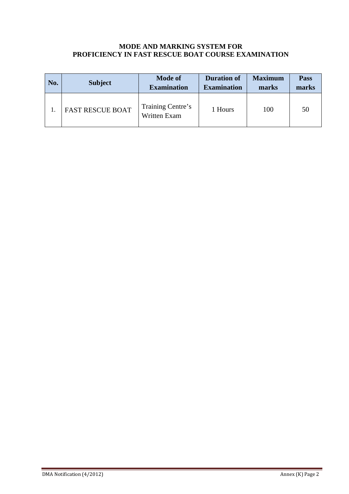#### **MODE AND MARKING SYSTEM FOR PROFICIENCY IN FAST RESCUE BOAT COURSE EXAMINATION**

| No. | <b>Subject</b>          | <b>Mode of</b><br><b>Examination</b> | <b>Duration of</b><br><b>Examination</b> | <b>Maximum</b><br>marks | <b>Pass</b><br>marks |
|-----|-------------------------|--------------------------------------|------------------------------------------|-------------------------|----------------------|
|     | <b>FAST RESCUE BOAT</b> | Training Centre's<br>Written Exam    | 1 Hours                                  | 100                     | 50                   |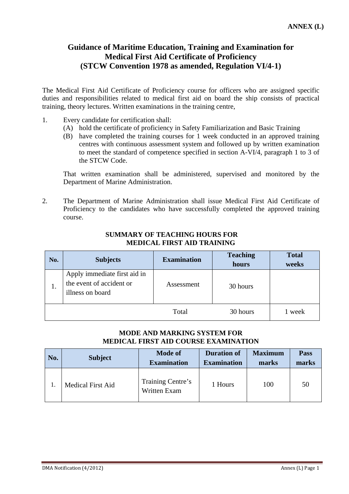### **Guidance of Maritime Education, Training and Examination for Medical First Aid Certificate of Proficiency (STCW Convention 1978 as amended, Regulation VI/4-1)**

The Medical First Aid Certificate of Proficiency course for officers who are assigned specific duties and responsibilities related to medical first aid on board the ship consists of practical training, theory lectures. Written examinations in the training centre,

- 1. Every candidate for certification shall:
	- (A) hold the certificate of proficiency in Safety Familiarization and Basic Training
	- (B) have completed the training courses for 1 week conducted in an approved training centres with continuous assessment system and followed up by written examination to meet the standard of competence specified in section A-VI/4, paragraph 1 to 3 of the STCW Code.

That written examination shall be administered, supervised and monitored by the Department of Marine Administration.

2. The Department of Marine Administration shall issue Medical First Aid Certificate of Proficiency to the candidates who have successfully completed the approved training course.

| No. | <b>Subjects</b>                                                              | <b>Examination</b> | <b>Teaching</b><br>hours | <b>Total</b><br>weeks |
|-----|------------------------------------------------------------------------------|--------------------|--------------------------|-----------------------|
| 1.  | Apply immediate first aid in<br>the event of accident or<br>illness on board | Assessment         | 30 hours                 |                       |
|     |                                                                              | Total              | 30 hours                 | week                  |

#### **SUMMARY OF TEACHING HOURS FOR MEDICAL FIRST AID TRAINING**

### **MODE AND MARKING SYSTEM FOR MEDICAL FIRST AID COURSE EXAMINATION**

| No. | <b>Subject</b>           | <b>Mode of</b><br><b>Examination</b> | <b>Duration of</b><br><b>Examination</b> | <b>Maximum</b><br>marks | <b>Pass</b><br>marks |
|-----|--------------------------|--------------------------------------|------------------------------------------|-------------------------|----------------------|
|     | <b>Medical First Aid</b> | Training Centre's<br>Written Exam    | 1 Hours                                  | 100                     | 50                   |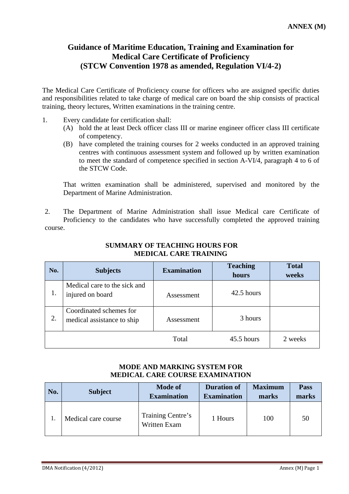### **Guidance of Maritime Education, Training and Examination for Medical Care Certificate of Proficiency (STCW Convention 1978 as amended, Regulation VI/4-2)**

The Medical Care Certificate of Proficiency course for officers who are assigned specific duties and responsibilities related to take charge of medical care on board the ship consists of practical training, theory lectures, Written examinations in the training centre.

- 1. Every candidate for certification shall:
	- (A) hold the at least Deck officer class III or marine engineer officer class III certificate of competency.
	- (B) have completed the training courses for 2 weeks conducted in an approved training centres with continuous assessment system and followed up by written examination to meet the standard of competence specified in section A-VI/4, paragraph 4 to 6 of the STCW Code.

 That written examination shall be administered, supervised and monitored by the Department of Marine Administration.

2. The Department of Marine Administration shall issue Medical care Certificate of Proficiency to the candidates who have successfully completed the approved training course.

| No. | <b>Subjects</b>                                       | <b>Examination</b> | <b>Teaching</b><br>hours | <b>Total</b><br>weeks |
|-----|-------------------------------------------------------|--------------------|--------------------------|-----------------------|
| 1.  | Medical care to the sick and<br>injured on board      | Assessment         | 42.5 hours               |                       |
| 2.  | Coordinated schemes for<br>medical assistance to ship | Assessment         | 3 hours                  |                       |
|     |                                                       | Total              | 45.5 hours               | 2 weeks               |

#### **SUMMARY OF TEACHING HOURS FOR MEDICAL CARE TRAINING**

### **MODE AND MARKING SYSTEM FOR MEDICAL CARE COURSE EXAMINATION**

| No. | <b>Subject</b>      | <b>Mode of</b><br><b>Examination</b> | <b>Duration of</b><br><b>Examination</b> | <b>Maximum</b><br>marks | Pass<br>marks |
|-----|---------------------|--------------------------------------|------------------------------------------|-------------------------|---------------|
|     | Medical care course | Training Centre's<br>Written Exam    | 1 Hours                                  | 100                     | 50            |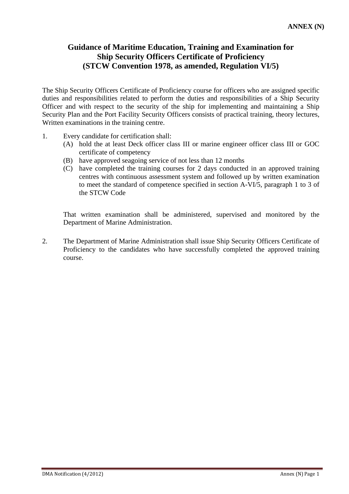### **Guidance of Maritime Education, Training and Examination for Ship Security Officers Certificate of Proficiency (STCW Convention 1978, as amended, Regulation VI/5)**

The Ship Security Officers Certificate of Proficiency course for officers who are assigned specific duties and responsibilities related to perform the duties and responsibilities of a Ship Security Officer and with respect to the security of the ship for implementing and maintaining a Ship Security Plan and the Port Facility Security Officers consists of practical training, theory lectures, Written examinations in the training centre.

- 1. Every candidate for certification shall:
	- (A) hold the at least Deck officer class III or marine engineer officer class III or GOC certificate of competency
	- (B) have approved seagoing service of not less than 12 months
	- (C) have completed the training courses for 2 days conducted in an approved training centres with continuous assessment system and followed up by written examination to meet the standard of competence specified in section A-VI/5, paragraph 1 to 3 of the STCW Code

 That written examination shall be administered, supervised and monitored by the Department of Marine Administration.

2. The Department of Marine Administration shall issue Ship Security Officers Certificate of Proficiency to the candidates who have successfully completed the approved training course.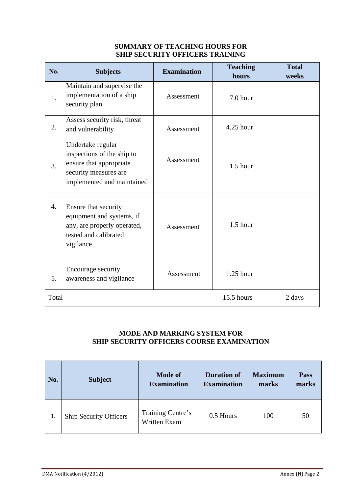### **SUMMARY OF TEACHING HOURS FOR SHIP SECURITY OFFICERS TRAINING**

| No.   | <b>Subjects</b>                                                                                                                   | <b>Examination</b> | <b>Teaching</b><br>hours | <b>Total</b><br>weeks |
|-------|-----------------------------------------------------------------------------------------------------------------------------------|--------------------|--------------------------|-----------------------|
| 1.    | Maintain and supervise the<br>implementation of a ship<br>security plan                                                           | Assessment         | 7.0 hour                 |                       |
| 2.    | Assess security risk, threat<br>and vulnerability                                                                                 | Assessment         | $4.25$ hour              |                       |
| 3.    | Undertake regular<br>inspections of the ship to<br>ensure that appropriate<br>security measures are<br>implemented and maintained | Assessment         | $1.5$ hour               |                       |
| 4.    | Ensure that security<br>equipment and systems, if<br>any, are properly operated,<br>tested and calibrated<br>vigilance            | Assessment         | $1.5$ hour               |                       |
| 5.    | Encourage security<br>awareness and vigilance                                                                                     | Assessment         | $1.25$ hour              |                       |
| Total |                                                                                                                                   |                    | 15.5 hours               | 2 days                |

### **MODE AND MARKING SYSTEM FOR SHIP SECURITY OFFICERS COURSE EXAMINATION**

| No. | <b>Subject</b>                | <b>Mode of</b><br><b>Examination</b>     | <b>Duration of</b><br><b>Examination</b> | <b>Maximum</b><br>marks | Pass<br>marks |
|-----|-------------------------------|------------------------------------------|------------------------------------------|-------------------------|---------------|
| 1.  | <b>Ship Security Officers</b> | Training Centre's<br><b>Written Exam</b> | 0.5 Hours                                | 100                     | 50            |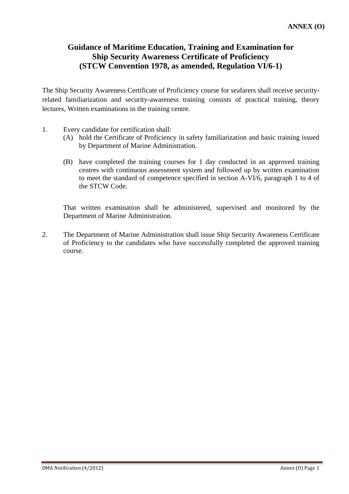### **Guidance of Maritime Education, Training and Examination for Ship Security Awareness Certificate of Proficiency (STCW Convention 1978, as amended, Regulation VI/6-1)**

The Ship Security Awareness Certificate of Proficiency course for seafarers shall receive securityrelated familiarization and security-awareness training consists of practical training, theory lectures, Written examinations in the training centre.

- 1. Every candidate for certification shall:
	- (A) hold the Certificate of Proficiency in safety familiarization and basic training issued by Department of Marine Administration.
	- (B) have completed the training courses for 1 day conducted in an approved training centres with continuous assessment system and followed up by written examination to meet the standard of competence specified in section A-VI/6, paragraph 1 to 4 of the STCW Code.

 That written examination shall be administered, supervised and monitored by the Department of Marine Administration.

2. The Department of Marine Administration shall issue Ship Security Awareness Certificate of Proficiency to the candidates who have successfully completed the approved training course.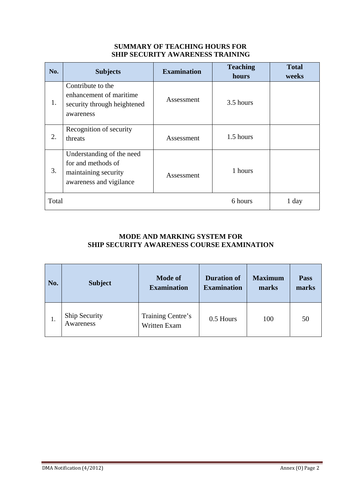### **SUMMARY OF TEACHING HOURS FOR SHIP SECURITY AWARENESS TRAINING**

| No.   | <b>Subjects</b>                                                                                    | <b>Examination</b> | <b>Teaching</b><br>hours | <b>Total</b><br>weeks |
|-------|----------------------------------------------------------------------------------------------------|--------------------|--------------------------|-----------------------|
| 1.    | Contribute to the<br>enhancement of maritime<br>security through heightened<br>awareness           | Assessment         | 3.5 hours                |                       |
| 2.    | Recognition of security<br>threats                                                                 | Assessment         | 1.5 hours                |                       |
| 3.    | Understanding of the need<br>for and methods of<br>maintaining security<br>awareness and vigilance | Assessment         | 1 hours                  |                       |
| Total |                                                                                                    |                    | 6 hours                  | 1 day                 |

### **MODE AND MARKING SYSTEM FOR SHIP SECURITY AWARENESS COURSE EXAMINATION**

| No. | <b>Subject</b>             | <b>Mode of</b><br><b>Examination</b>     | <b>Duration of</b><br><b>Examination</b> | <b>Maximum</b><br>marks | Pass<br>marks |
|-----|----------------------------|------------------------------------------|------------------------------------------|-------------------------|---------------|
| 1.  | Ship Security<br>Awareness | Training Centre's<br><b>Written Exam</b> | 0.5 Hours                                | 100                     | 50            |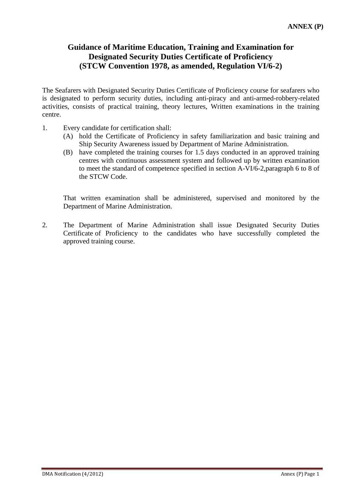### **Guidance of Maritime Education, Training and Examination for Designated Security Duties Certificate of Proficiency (STCW Convention 1978, as amended, Regulation VI/6-2)**

The Seafarers with Designated Security Duties Certificate of Proficiency course for seafarers who is designated to perform security duties, including anti-piracy and anti-armed-robbery-related activities, consists of practical training, theory lectures, Written examinations in the training centre.

- 1. Every candidate for certification shall:
	- (A) hold the Certificate of Proficiency in safety familiarization and basic training and Ship Security Awareness issued by Department of Marine Administration.
	- (B) have completed the training courses for 1.5 days conducted in an approved training centres with continuous assessment system and followed up by written examination to meet the standard of competence specified in section A-VI/6-2,paragraph 6 to 8 of the STCW Code.

 That written examination shall be administered, supervised and monitored by the Department of Marine Administration.

2. The Department of Marine Administration shall issue Designated Security Duties Certificate of Proficiency to the candidates who have successfully completed the approved training course.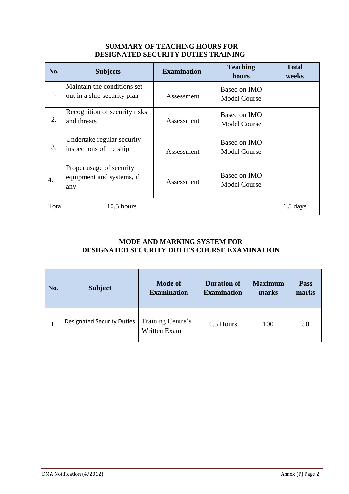#### **SUMMARY OF TEACHING HOURS FOR DESIGNATED SECURITY DUTIES TRAINING**

| No.   | <b>Subjects</b>                                              | <b>Examination</b> | <b>Teaching</b><br>hours            | <b>Total</b><br>weeks |
|-------|--------------------------------------------------------------|--------------------|-------------------------------------|-----------------------|
| 1.    | Maintain the conditions set<br>out in a ship security plan   | Assessment         | Based on IMO<br><b>Model Course</b> |                       |
| 2.    | Recognition of security risks<br>and threats                 | Assessment         | Based on IMO<br><b>Model Course</b> |                       |
| 3.    | Undertake regular security<br>inspections of the ship        | Assessment         | Based on IMO<br><b>Model Course</b> |                       |
| 4.    | Proper usage of security<br>equipment and systems, if<br>any | Assessment         | Based on IMO<br><b>Model Course</b> |                       |
| Total | $10.5$ hours                                                 |                    |                                     | $1.5$ days            |

### **MODE AND MARKING SYSTEM FOR DESIGNATED SECURITY DUTIES COURSE EXAMINATION**

| No. | <b>Subject</b>                    | <b>Mode of</b><br><b>Examination</b> | <b>Duration of</b><br><b>Examination</b> | <b>Maximum</b><br>marks | Pass<br>marks |
|-----|-----------------------------------|--------------------------------------|------------------------------------------|-------------------------|---------------|
| 1.  | <b>Designated Security Duties</b> | Training Centre's<br>Written Exam    | 0.5 Hours                                | 100                     | 50            |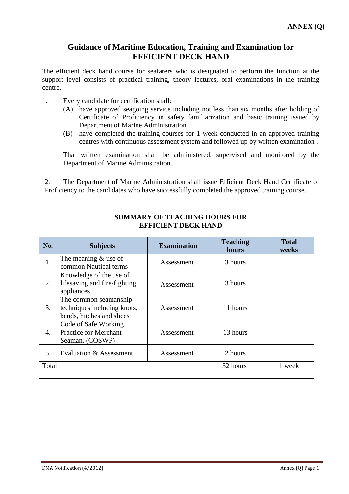### **Guidance of Maritime Education, Training and Examination for EFFICIENT DECK HAND**

The efficient deck hand course for seafarers who is designated to perform the function at the support level consists of practical training, theory lectures, oral examinations in the training centre.

- 1. Every candidate for certification shall:
	- (A) have approved seagoing service including not less than six months after holding of Certificate of Proficiency in safety familiarization and basic training issued by Department of Marine Administration
	- (B) have completed the training courses for 1 week conducted in an approved training centres with continuous assessment system and followed up by written examination .

 That written examination shall be administered, supervised and monitored by the Department of Marine Administration.

2. The Department of Marine Administration shall issue Efficient Deck Hand Certificate of Proficiency to the candidates who have successfully completed the approved training course.

| No.   | <b>Subjects</b>                                                                   | <b>Examination</b> | <b>Teaching</b><br>hours | <b>Total</b><br>weeks |
|-------|-----------------------------------------------------------------------------------|--------------------|--------------------------|-----------------------|
| 1.    | The meaning $&$ use of<br>common Nautical terms                                   | Assessment         | 3 hours                  |                       |
| 2.    | Knowledge of the use of<br>lifesaving and fire-fighting<br>appliances             | Assessment         | 3 hours                  |                       |
| 3.    | The common seamanship<br>techniques including knots,<br>bends, hitches and slices | Assessment         | 11 hours                 |                       |
| 4.    | Code of Safe Working<br><b>Practice for Merchant</b><br>Seaman, (COSWP)           | Assessment         | 13 hours                 |                       |
| 5.    | Evaluation & Assessment                                                           | Assessment         | 2 hours                  |                       |
| Total |                                                                                   |                    | 32 hours                 | 1 week                |

#### **SUMMARY OF TEACHING HOURS FOR EFFICIENT DECK HAND**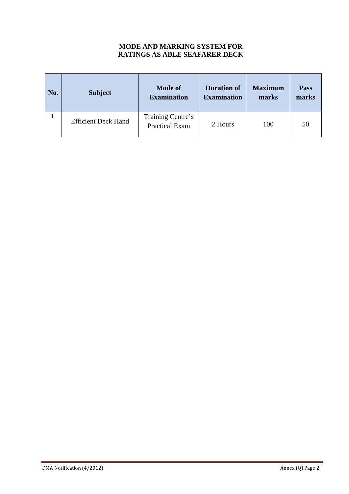### **MODE AND MARKING SYSTEM FOR RATINGS AS ABLE SEAFARER DECK**

| No. | <b>Subject</b>             | <b>Mode of</b><br><b>Examination</b>       | <b>Duration of</b><br><b>Examination</b> | <b>Maximum</b><br>marks | Pass<br>marks |
|-----|----------------------------|--------------------------------------------|------------------------------------------|-------------------------|---------------|
| 1.  | <b>Efficient Deck Hand</b> | Training Centre's<br><b>Practical Exam</b> | 2 Hours                                  | 100                     | 50            |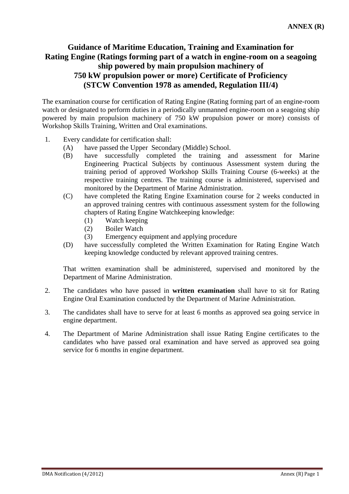### **Guidance of Maritime Education, Training and Examination for Rating Engine (Ratings forming part of a watch in engine-room on a seagoing ship powered by main propulsion machinery of 750 kW propulsion power or more) Certificate of Proficiency (STCW Convention 1978 as amended, Regulation III/4)**

The examination course for certification of Rating Engine (Rating forming part of an engine-room watch or designated to perform duties in a periodically unmanned engine-room on a seagoing ship powered by main propulsion machinery of 750 kW propulsion power or more) consists of Workshop Skills Training, Written and Oral examinations.

- 1. Every candidate for certification shall:
	- (A) have passed the Upper Secondary (Middle) School.
	- (B) have successfully completed the training and assessment for Marine Engineering Practical Subjects by continuous Assessment system during the training period of approved Workshop Skills Training Course (6-weeks) at the respective training centres. The training course is administered, supervised and monitored by the Department of Marine Administration.
	- (C) have completed the Rating Engine Examination course for 2 weeks conducted in an approved training centres with continuous assessment system for the following chapters of Rating Engine Watchkeeping knowledge:
		- (1) Watch keeping
		- (2) Boiler Watch
		- (3) Emergency equipment and applying procedure
	- (D) have successfully completed the Written Examination for Rating Engine Watch keeping knowledge conducted by relevant approved training centres.

 That written examination shall be administered, supervised and monitored by the Department of Marine Administration.

- 2. The candidates who have passed in **written examination** shall have to sit for Rating Engine Oral Examination conducted by the Department of Marine Administration.
- 3. The candidates shall have to serve for at least 6 months as approved sea going service in engine department.
- 4. The Department of Marine Administration shall issue Rating Engine certificates to the candidates who have passed oral examination and have served as approved sea going service for 6 months in engine department.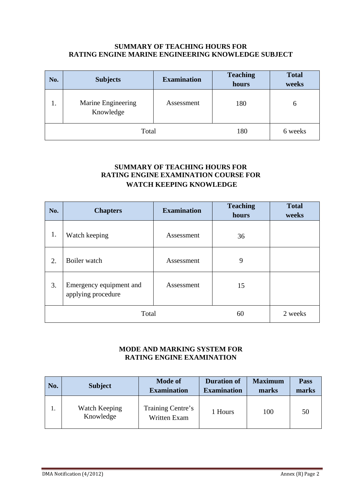#### **SUMMARY OF TEACHING HOURS FOR RATING ENGINE MARINE ENGINEERING KNOWLEDGE SUBJECT**

| No.   | <b>Subjects</b>                 | <b>Teaching</b><br><b>Examination</b><br>hours |         | <b>Total</b><br>weeks |
|-------|---------------------------------|------------------------------------------------|---------|-----------------------|
| ı.    | Marine Engineering<br>Knowledge | Assessment                                     | 180     | 6                     |
| Total |                                 | 180                                            | 6 weeks |                       |

### **SUMMARY OF TEACHING HOURS FOR RATING ENGINE EXAMINATION COURSE FOR WATCH KEEPING KNOWLEDGE**

| No.   | <b>Chapters</b>                               | <b>Examination</b> | <b>Teaching</b><br>hours | <b>Total</b><br>weeks |
|-------|-----------------------------------------------|--------------------|--------------------------|-----------------------|
| 1.    | Watch keeping                                 | Assessment         | 36                       |                       |
| 2.    | Boiler watch                                  | Assessment         | 9                        |                       |
| 3.    | Emergency equipment and<br>applying procedure | Assessment         | 15                       |                       |
| Total |                                               |                    | 60                       | 2 weeks               |

### **MODE AND MARKING SYSTEM FOR RATING ENGINE EXAMINATION**

| No. | <b>Subject</b>             | <b>Mode of</b><br><b>Examination</b> | <b>Duration of</b><br><b>Examination</b> | <b>Maximum</b><br>marks | <b>Pass</b><br>marks |
|-----|----------------------------|--------------------------------------|------------------------------------------|-------------------------|----------------------|
|     | Watch Keeping<br>Knowledge | Training Centre's<br>Written Exam    | 1 Hours                                  | 100                     | 50                   |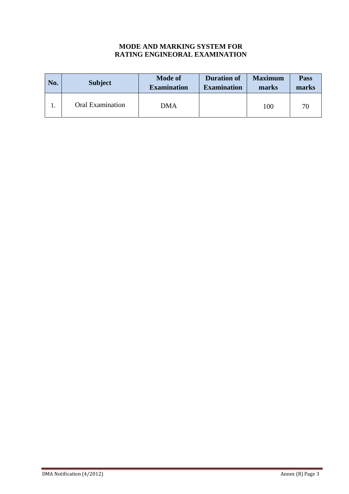### **MODE AND MARKING SYSTEM FOR RATING ENGINEORAL EXAMINATION**

| No. | <b>Subject</b>          | <b>Mode of</b><br><b>Examination</b> | <b>Duration of</b><br><b>Examination</b> | <b>Maximum</b><br>marks | <b>Pass</b><br>marks |
|-----|-------------------------|--------------------------------------|------------------------------------------|-------------------------|----------------------|
|     | <b>Oral Examination</b> | DMA                                  |                                          | 100                     | 70                   |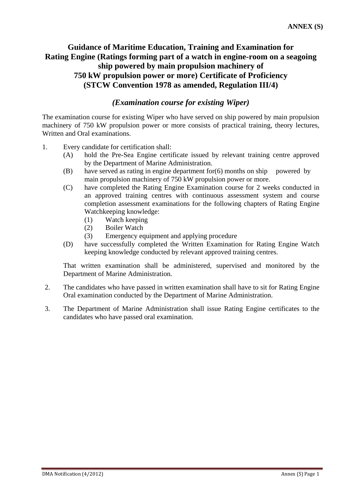### **Guidance of Maritime Education, Training and Examination for Rating Engine (Ratings forming part of a watch in engine-room on a seagoing ship powered by main propulsion machinery of 750 kW propulsion power or more) Certificate of Proficiency (STCW Convention 1978 as amended, Regulation III/4)**

### *(Examination course for existing Wiper)*

The examination course for existing Wiper who have served on ship powered by main propulsion machinery of 750 kW propulsion power or more consists of practical training, theory lectures, Written and Oral examinations.

- 1. Every candidate for certification shall:
	- (A) hold the Pre-Sea Engine certificate issued by relevant training centre approved by the Department of Marine Administration.
	- $(B)$  have served as rating in engine department for  $(6)$  months on ship powered by main propulsion machinery of 750 kW propulsion power or more.
	- (C) have completed the Rating Engine Examination course for 2 weeks conducted in an approved training centres with continuous assessment system and course completion assessment examinations for the following chapters of Rating Engine Watchkeeping knowledge:
		- (1) Watch keeping
		- (2) Boiler Watch
		- (3) Emergency equipment and applying procedure
	- (D) have successfully completed the Written Examination for Rating Engine Watch keeping knowledge conducted by relevant approved training centres.

That written examination shall be administered, supervised and monitored by the Department of Marine Administration.

- 2. The candidates who have passed in written examination shall have to sit for Rating Engine Oral examination conducted by the Department of Marine Administration.
- 3. The Department of Marine Administration shall issue Rating Engine certificates to the candidates who have passed oral examination.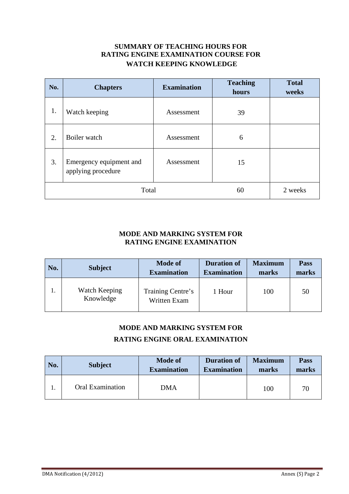### **SUMMARY OF TEACHING HOURS FOR RATING ENGINE EXAMINATION COURSE FOR WATCH KEEPING KNOWLEDGE**

| No.   | <b>Chapters</b>                               | <b>Examination</b> | <b>Teaching</b><br>hours | <b>Total</b><br>weeks |
|-------|-----------------------------------------------|--------------------|--------------------------|-----------------------|
| 1.    | Watch keeping                                 | Assessment         | 39                       |                       |
| 2.    | Boiler watch                                  | Assessment         | 6                        |                       |
| 3.    | Emergency equipment and<br>applying procedure | Assessment         | 15                       |                       |
| Total |                                               |                    | 60                       | 2 weeks               |

### **MODE AND MARKING SYSTEM FOR RATING ENGINE EXAMINATION**

| No. | <b>Subject</b>             | <b>Mode of</b><br><b>Examination</b> | <b>Duration of</b><br><b>Examination</b> | <b>Maximum</b><br>marks | <b>Pass</b><br>marks |
|-----|----------------------------|--------------------------------------|------------------------------------------|-------------------------|----------------------|
|     | Watch Keeping<br>Knowledge | Training Centre's<br>Written Exam    | l Hour                                   | 100                     | 50                   |

### **MODE AND MARKING SYSTEM FOR**

### **RATING ENGINE ORAL EXAMINATION**

| No. | <b>Subject</b>          | <b>Mode of</b><br><b>Examination</b> | <b>Duration of</b><br><b>Examination</b> | <b>Maximum</b><br>marks | <b>Pass</b><br>marks |
|-----|-------------------------|--------------------------------------|------------------------------------------|-------------------------|----------------------|
|     | <b>Oral Examination</b> | <b>DMA</b>                           |                                          | 100                     | 70                   |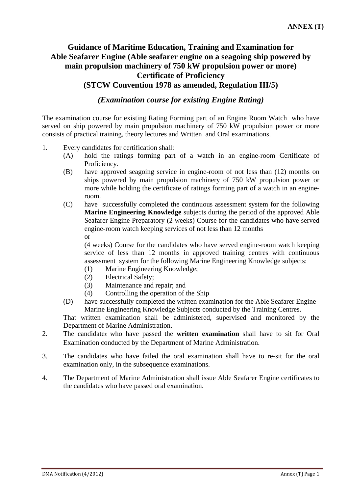### **Guidance of Maritime Education, Training and Examination for Able Seafarer Engine (Able seafarer engine on a seagoing ship powered by main propulsion machinery of 750 kW propulsion power or more) Certificate of Proficiency (STCW Convention 1978 as amended, Regulation III/5)**

*(Examination course for existing Engine Rating)* 

The examination course for existing Rating Forming part of an Engine Room Watch who have served on ship powered by main propulsion machinery of 750 kW propulsion power or more consists of practical training, theory lectures and Written and Oral examinations.

- 1. Every candidates for certification shall:
	- (A) hold the ratings forming part of a watch in an engine-room Certificate of Proficiency.
	- (B) have approved seagoing service in engine-room of not less than (12) months on ships powered by main propulsion machinery of 750 kW propulsion power or more while holding the certificate of ratings forming part of a watch in an engineroom.
	- (C) have successfully completed the continuous assessment system for the following **Marine Engineering Knowledge** subjects during the period of the approved Able Seafarer Engine Preparatory (2 weeks) Course for the candidates who have served engine-room watch keeping services of not less than 12 months or

(4 weeks) Course for the candidates who have served engine-room watch keeping service of less than 12 months in approved training centres with continuous assessment system for the following Marine Engineering Knowledge subjects:

- (1) Marine Engineering Knowledge;
- (2) Electrical Safety;
- (3) Maintenance and repair; and
- (4) Controlling the operation of the Ship
- (D) have successfully completed the written examination for the Able Seafarer Engine Marine Engineering Knowledge Subjects conducted by the Training Centres.

 That written examination shall be administered, supervised and monitored by the Department of Marine Administration.

- 2. The candidates who have passed the **written examination** shall have to sit for Oral Examination conducted by the Department of Marine Administration.
- 3. The candidates who have failed the oral examination shall have to re-sit for the oral examination only, in the subsequence examinations.
- 4. The Department of Marine Administration shall issue Able Seafarer Engine certificates to the candidates who have passed oral examination.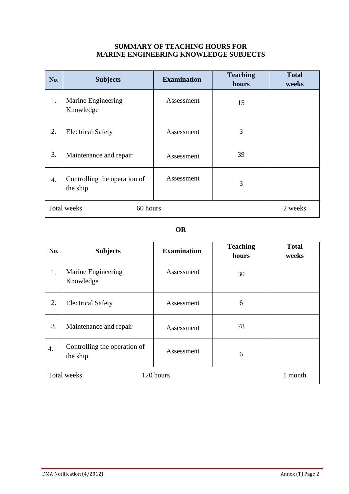#### **SUMMARY OF TEACHING HOURS FOR MARINE ENGINEERING KNOWLEDGE SUBJECTS**

| No.         | <b>Subjects</b>                          | <b>Examination</b> | <b>Teaching</b><br>hours | <b>Total</b><br>weeks |
|-------------|------------------------------------------|--------------------|--------------------------|-----------------------|
| 1.          | Marine Engineering<br>Knowledge          | Assessment         | 15                       |                       |
| 2.          | <b>Electrical Safety</b>                 | Assessment         | 3                        |                       |
| 3.          | Maintenance and repair                   | Assessment         | 39                       |                       |
| 4.          | Controlling the operation of<br>the ship | Assessment         | 3                        |                       |
| Total weeks | 2 weeks                                  |                    |                          |                       |

### **OR**

| No.         | <b>Subjects</b>                          | <b>Examination</b> | <b>Teaching</b><br>hours | <b>Total</b><br>weeks |
|-------------|------------------------------------------|--------------------|--------------------------|-----------------------|
| 1.          | Marine Engineering<br>Knowledge          | Assessment         | 30                       |                       |
| 2.          | <b>Electrical Safety</b>                 | Assessment         | 6                        |                       |
| 3.          | Maintenance and repair                   | Assessment         | 78                       |                       |
| 4.          | Controlling the operation of<br>the ship | Assessment         | 6                        |                       |
| Total weeks | 1 month                                  |                    |                          |                       |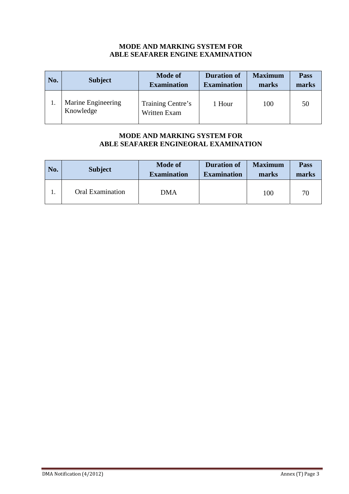#### **MODE AND MARKING SYSTEM FOR ABLE SEAFARER ENGINE EXAMINATION**

| No. | <b>Subject</b>                  | <b>Mode of</b><br><b>Examination</b> | <b>Duration of</b><br><b>Examination</b> | <b>Maximum</b><br>marks | <b>Pass</b><br>marks |
|-----|---------------------------------|--------------------------------------|------------------------------------------|-------------------------|----------------------|
|     | Marine Engineering<br>Knowledge | Training Centre's<br>Written Exam    | 1 Hour                                   | 100                     | 50                   |

### **MODE AND MARKING SYSTEM FOR ABLE SEAFARER ENGINEORAL EXAMINATION**

| No. | <b>Subject</b>          | <b>Mode of</b><br><b>Examination</b> | <b>Duration of</b><br><b>Examination</b> | <b>Maximum</b><br>marks | <b>Pass</b><br>marks |
|-----|-------------------------|--------------------------------------|------------------------------------------|-------------------------|----------------------|
|     | <b>Oral Examination</b> | DMA                                  |                                          | 100                     | 70                   |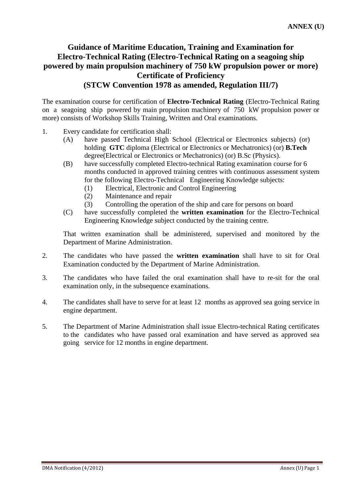### **Guidance of Maritime Education, Training and Examination for Electro-Technical Rating (Electro-Technical Rating on a seagoing ship powered by main propulsion machinery of 750 kW propulsion power or more) Certificate of Proficiency (STCW Convention 1978 as amended, Regulation III/7)**

The examination course for certification of **Electro-Technical Rating** (Electro-Technical Rating on a seagoing ship powered by main propulsion machinery of 750 kW propulsion power or more) consists of Workshop Skills Training, Written and Oral examinations.

- 1. Every candidate for certification shall:
	- (A) have passed Technical High School (Electrical or Electronics subjects) (or) holding **GTC** diploma (Electrical or Electronics or Mechatronics) (or) **B.Tech** degree(Electrical or Electronics or Mechatronics) (or) B.Sc (Physics).
	- (B) have successfully completed Electro-technical Rating examination course for 6 months conducted in approved training centres with continuous assessment system for the following Electro-Technical Engineering Knowledge subjects:
		- (1) Electrical, Electronic and Control Engineering
		- (2) Maintenance and repair
		- (3) Controlling the operation of the ship and care for persons on board
	- (C) have successfully completed the **written examination** for the Electro-Technical Engineering Knowledge subject conducted by the training centre.

 That written examination shall be administered, supervised and monitored by the Department of Marine Administration.

- 2. The candidates who have passed the **written examination** shall have to sit for Oral Examination conducted by the Department of Marine Administration.
- 3. The candidates who have failed the oral examination shall have to re-sit for the oral examination only, in the subsequence examinations.
- 4. The candidates shall have to serve for at least 12 months as approved sea going service in engine department.
- 5. The Department of Marine Administration shall issue Electro-technical Rating certificates to the candidates who have passed oral examination and have served as approved sea going service for 12 months in engine department.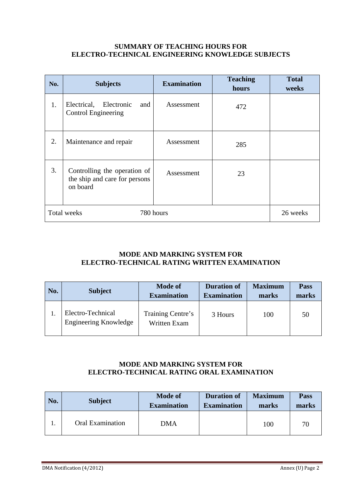#### **SUMMARY OF TEACHING HOURS FOR ELECTRO-TECHNICAL ENGINEERING KNOWLEDGE SUBJECTS**

| No. | <b>Subjects</b>                                                           | <b>Examination</b> | <b>Teaching</b><br>hours | <b>Total</b><br>weeks |
|-----|---------------------------------------------------------------------------|--------------------|--------------------------|-----------------------|
| 1.  | Electrical,<br>Electronic<br>and<br>Control Engineering                   | Assessment         | 472                      |                       |
| 2.  | Maintenance and repair                                                    | Assessment         | 285                      |                       |
| 3.  | Controlling the operation of<br>the ship and care for persons<br>on board | Assessment         | 23                       |                       |
|     | Total weeks                                                               | 780 hours          |                          | 26 weeks              |

### **MODE AND MARKING SYSTEM FOR ELECTRO-TECHNICAL RATING WRITTEN EXAMINATION**

| No. | <b>Subject</b>                                    | <b>Mode of</b><br><b>Examination</b>     | <b>Duration of</b><br><b>Examination</b> | <b>Maximum</b><br>marks | <b>Pass</b><br>marks |
|-----|---------------------------------------------------|------------------------------------------|------------------------------------------|-------------------------|----------------------|
|     | Electro-Technical<br><b>Engineering Knowledge</b> | Training Centre's<br><b>Written Exam</b> | 3 Hours                                  | 100                     | 50                   |

### **MODE AND MARKING SYSTEM FOR ELECTRO-TECHNICAL RATING ORAL EXAMINATION**

| No. | <b>Subject</b>          | <b>Mode of</b><br><b>Examination</b> | <b>Duration of</b><br><b>Examination</b> | <b>Maximum</b><br>marks | Pass<br>marks |
|-----|-------------------------|--------------------------------------|------------------------------------------|-------------------------|---------------|
| ı.  | <b>Oral Examination</b> | DMA                                  |                                          | 100                     | 70            |